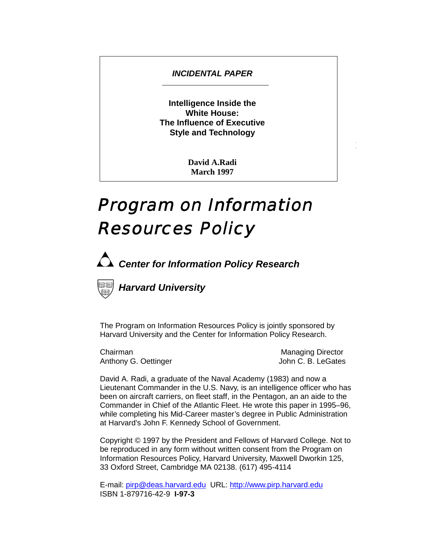# *INCIDENTAL PAPER*

**Intelligence Inside the White House: The Influence of Executive Style and Technology**

> **David A.Radi March 1997**

# Program on Information Resources Policy

# *Center for Information Policy Research*



*Harvard University*

The Program on Information Resources Policy is jointly sponsored by Harvard University and the Center for Information Policy Research.

Chairman **Managing Director** Managing Director Anthony G. Oettinger John C. B. LeGates

David A. Radi, a graduate of the Naval Academy (1983) and now a Lieutenant Commander in the U.S. Navy, is an intelligence officer who has been on aircraft carriers, on fleet staff, in the Pentagon, an an aide to the Commander in Chief of the Atlantic Fleet. He wrote this paper in 1995–96, while completing his Mid-Career master's degree in Public Administration at Harvard's John F. Kennedy School of Government.

Copyright © 1997 by the President and Fellows of Harvard College. Not to be reproduced in any form without written consent from the Program on Information Resources Policy, Harvard University, Maxwell Dworkin 125, 33 Oxford Street, Cambridge MA 02138. (617) 495-4114

E-mail: [pirp@deas.harvard.edu](mailto:pirp@deas.harvard.edu) URL: [http://www.pirp.harvard.edu](http://www.pirp.harvard.edu/) ISBN 1-879716-42-9 **I-97-3**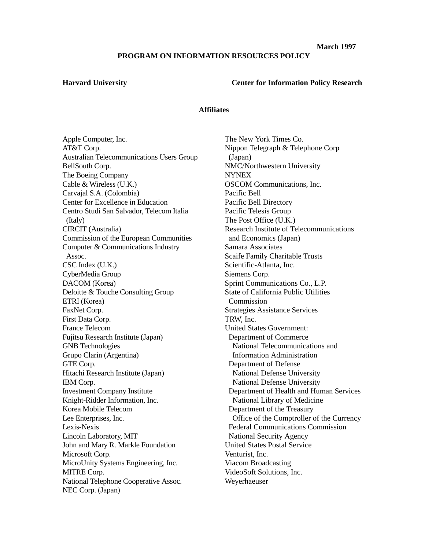#### **PROGRAM ON INFORMATION RESOURCES POLICY**

#### **Harvard University Center for Information Policy Research**

#### **Affiliates**

Apple Computer, Inc. AT&T Corp. Australian Telecommunications Users Group BellSouth Corp. The Boeing Company Cable & Wireless (U.K.) Carvajal S.A. (Colombia) Center for Excellence in Education Centro Studi San Salvador, Telecom Italia (Italy) CIRCIT (Australia) Commission of the European Communities Computer & Communications Industry Assoc. CSC Index (U.K.) CyberMedia Group DACOM (Korea) Deloitte & Touche Consulting Group ETRI (Korea) FaxNet Corp. First Data Corp. France Telecom Fujitsu Research Institute (Japan) GNB Technologies Grupo Clarin (Argentina) GTE Corp. Hitachi Research Institute (Japan) IBM Corp. Investment Company Institute Knight-Ridder Information, Inc. Korea Mobile Telecom Lee Enterprises, Inc. Lexis-Nexis Lincoln Laboratory, MIT John and Mary R. Markle Foundation Microsoft Corp. MicroUnity Systems Engineering, Inc. MITRE Corp. National Telephone Cooperative Assoc. NEC Corp. (Japan)

The New York Times Co. Nippon Telegraph & Telephone Corp (Japan) NMC/Northwestern University NYNEX OSCOM Communications, Inc. Pacific Bell Pacific Bell Directory Pacific Telesis Group The Post Office (U.K.) Research Institute of Telecommunications and Economics (Japan) Samara Associates Scaife Family Charitable Trusts Scientific-Atlanta, Inc. Siemens Corp. Sprint Communications Co., L.P. State of California Public Utilities Commission Strategies Assistance Services TRW, Inc. United States Government: Department of Commerce National Telecommunications and Information Administration Department of Defense National Defense University National Defense University Department of Health and Human Services National Library of Medicine Department of the Treasury Office of the Comptroller of the Currency Federal Communications Commission National Security Agency United States Postal Service Venturist, Inc. Viacom Broadcasting VideoSoft Solutions, Inc. Weyerhaeuser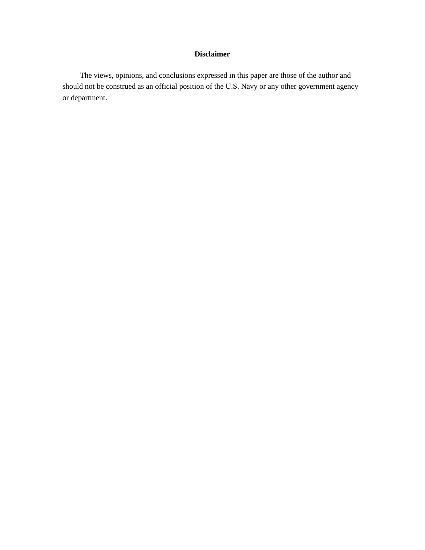## **Disclaimer**

<span id="page-2-0"></span>The views, opinions, and conclusions expressed in this paper are those of the author and should not be construed as an official position of the U.S. Navy or any other government agency or department.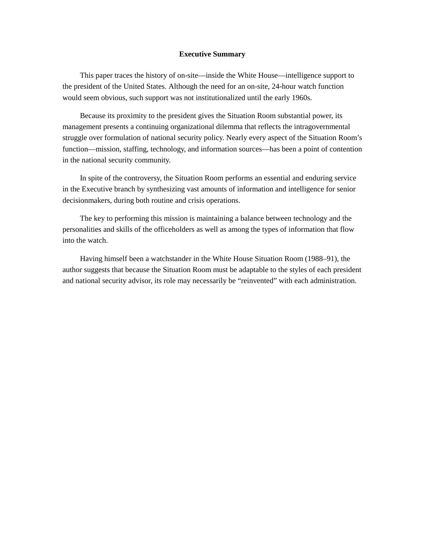#### **Executive Summary**

<span id="page-3-0"></span>This paper traces the history of on-site—inside the White House—intelligence support to the president of the United States. Although the need for an on-site, 24-hour watch function would seem obvious, such support was not institutionalized until the early 1960s.

Because its proximity to the president gives the Situation Room substantial power, its management presents a continuing organizational dilemma that reflects the intragovernmental struggle over formulation of national security policy. Nearly every aspect of the Situation Room's function—mission, staffing, technology, and information sources—has been a point of contention in the national security community.

In spite of the controversy, the Situation Room performs an essential and enduring service in the Executive branch by synthesizing vast amounts of information and intelligence for senior decisionmakers, during both routine and crisis operations.

The key to performing this mission is maintaining a balance between technology and the personalities and skills of the officeholders as well as among the types of information that flow into the watch.

Having himself been a watchstander in the White House Situation Room (1988–91), the author suggests that because the Situation Room must be adaptable to the styles of each president and national security advisor, its role may necessarily be "reinvented" with each administration.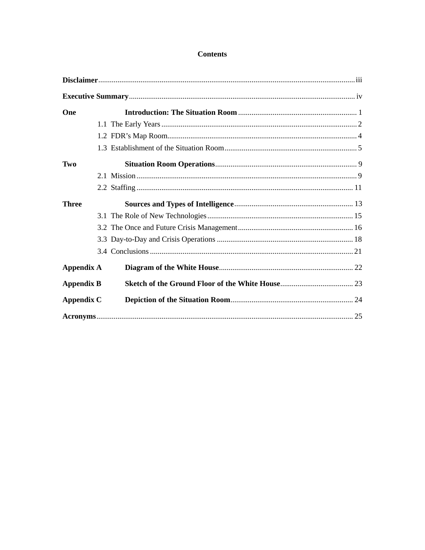### **Contents**

| One               |  |  |
|-------------------|--|--|
|                   |  |  |
|                   |  |  |
|                   |  |  |
| Two               |  |  |
|                   |  |  |
|                   |  |  |
| <b>Three</b>      |  |  |
|                   |  |  |
|                   |  |  |
|                   |  |  |
|                   |  |  |
| <b>Appendix A</b> |  |  |
| <b>Appendix B</b> |  |  |
| <b>Appendix C</b> |  |  |
|                   |  |  |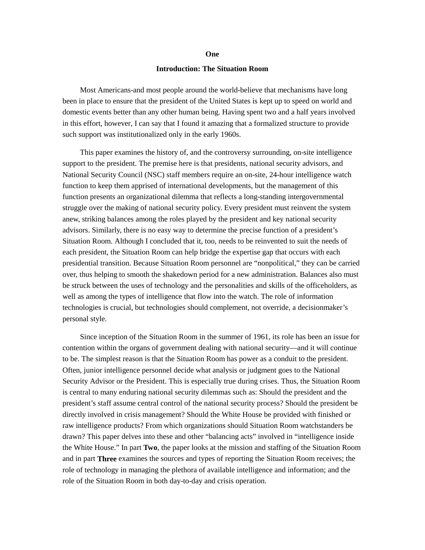#### **One**

#### **Introduction: The Situation Room**

<span id="page-5-0"></span>Most Americans-and most people around the world-believe that mechanisms have long been in place to ensure that the president of the United States is kept up to speed on world and domestic events better than any other human being. Having spent two and a half years involved in this effort, however, I can say that I found it amazing that a formalized structure to provide such support was institutionalized only in the early 1960s.

This paper examines the history of, and the controversy surrounding, on-site intelligence support to the president. The premise here is that presidents, national security advisors, and National Security Council (NSC) staff members require an on-site, 24-hour intelligence watch function to keep them apprised of international developments, but the management of this function presents an organizational dilemma that reflects a long-standing intergovernmental struggle over the making of national security policy. Every president must reinvent the system anew, striking balances among the roles played by the president and key national security advisors. Similarly, there is no easy way to determine the precise function of a president's Situation Room. Although I concluded that it, too, needs to be reinvented to suit the needs of each president, the Situation Room can help bridge the expertise gap that occurs with each presidential transition. Because Situation Room personnel are "nonpolitical," they can be carried over, thus helping to smooth the shakedown period for a new administration. Balances also must be struck between the uses of technology and the personalities and skills of the officeholders, as well as among the types of intelligence that flow into the watch. The role of information technologies is crucial, but technologies should complement, not override, a decisionmaker's personal style.

Since inception of the Situation Room in the summer of 1961, its role has been an issue for contention within the organs of government dealing with national security—and it will continue to be. The simplest reason is that the Situation Room has power as a conduit to the president. Often, junior intelligence personnel decide what analysis or judgment goes to the National Security Advisor or the President. This is especially true during crises. Thus, the Situation Room is central to many enduring national security dilemmas such as: Should the president and the president's staff assume central control of the national security process? Should the president be directly involved in crisis management? Should the White House be provided with finished or raw intelligence products? From which organizations should Situation Room watchstanders be drawn? This paper delves into these and other "balancing acts" involved in "intelligence inside the White House." In part **Two**, the paper looks at the mission and staffing of the Situation Room and in part **Three** examines the sources and types of reporting the Situation Room receives; the role of technology in managing the plethora of available intelligence and information; and the role of the Situation Room in both day-to-day and crisis operation.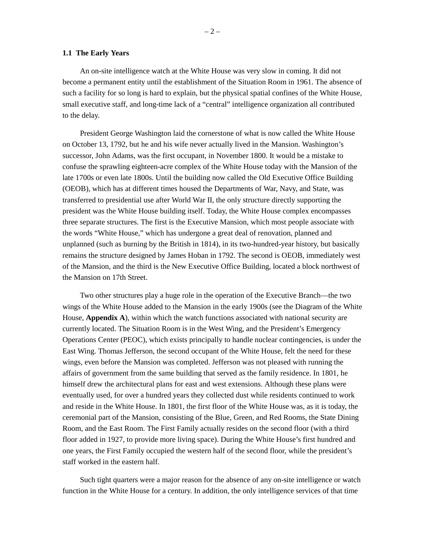#### <span id="page-6-0"></span>**1.1 The Early Years**

An on-site intelligence watch at the White House was very slow in coming. It did not become a permanent entity until the establishment of the Situation Room in 1961. The absence of such a facility for so long is hard to explain, but the physical spatial confines of the White House, small executive staff, and long-time lack of a "central" intelligence organization all contributed to the delay.

President George Washington laid the cornerstone of what is now called the White House on October 13, 1792, but he and his wife never actually lived in the Mansion. Washington's successor, John Adams, was the first occupant, in November 1800. It would be a mistake to confuse the sprawling eighteen-acre complex of the White House today with the Mansion of the late 1700s or even late 1800s. Until the building now called the Old Executive Office Building (OEOB), which has at different times housed the Departments of War, Navy, and State, was transferred to presidential use after World War II, the only structure directly supporting the president was the White House building itself. Today, the White House complex encompasses three separate structures. The first is the Executive Mansion, which most people associate with the words "White House," which has undergone a great deal of renovation, planned and unplanned (such as burning by the British in 1814), in its two-hundred-year history, but basically remains the structure designed by James Hoban in 1792. The second is OEOB, immediately west of the Mansion, and the third is the New Executive Office Building, located a block northwest of the Mansion on 17th Street.

Two other structures play a huge role in the operation of the Executive Branch—the two wings of the White House added to the Mansion in the early 1900s (see the Diagram of the White House, **Appendix A**), within which the watch functions associated with national security are currently located. The Situation Room is in the West Wing, and the President's Emergency Operations Center (PEOC), which exists principally to handle nuclear contingencies, is under the East Wing. Thomas Jefferson, the second occupant of the White House, felt the need for these wings, even before the Mansion was completed. Jefferson was not pleased with running the affairs of government from the same building that served as the family residence. In 1801, he himself drew the architectural plans for east and west extensions. Although these plans were eventually used, for over a hundred years they collected dust while residents continued to work and reside in the White House. In 1801, the first floor of the White House was, as it is today, the ceremonial part of the Mansion, consisting of the Blue, Green, and Red Rooms, the State Dining Room, and the East Room. The First Family actually resides on the second floor (with a third floor added in 1927, to provide more living space). During the White House's first hundred and one years, the First Family occupied the western half of the second floor, while the president's staff worked in the eastern half.

Such tight quarters were a major reason for the absence of any on-site intelligence or watch function in the White House for a century. In addition, the only intelligence services of that time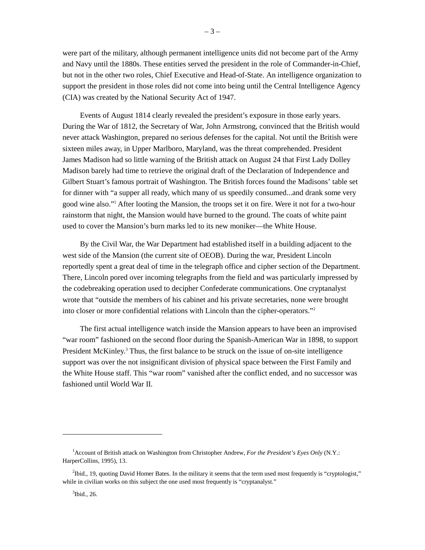were part of the military, although permanent intelligence units did not become part of the Army and Navy until the 1880s. These entities served the president in the role of Commander-in-Chief, but not in the other two roles, Chief Executive and Head-of-State. An intelligence organization to support the president in those roles did not come into being until the Central Intelligence Agency (CIA) was created by the National Security Act of 1947.

 $-3-$ 

Events of August 1814 clearly revealed the president's exposure in those early years. During the War of 1812, the Secretary of War, John Armstrong, convinced that the British would never attack Washington, prepared no serious defenses for the capital. Not until the British were sixteen miles away, in Upper Marlboro, Maryland, was the threat comprehended. President James Madison had so little warning of the British attack on August 24 that First Lady Dolley Madison barely had time to retrieve the original draft of the Declaration of Independence and Gilbert Stuart's famous portrait of Washington. The British forces found the Madisons' table set for dinner with "a supper all ready, which many of us speedily consumed...and drank some very good wine also."1 After looting the Mansion, the troops set it on fire. Were it not for a two-hour rainstorm that night, the Mansion would have burned to the ground. The coats of white paint used to cover the Mansion's burn marks led to its new moniker—the White House.

By the Civil War, the War Department had established itself in a building adjacent to the west side of the Mansion (the current site of OEOB). During the war, President Lincoln reportedly spent a great deal of time in the telegraph office and cipher section of the Department. There, Lincoln pored over incoming telegraphs from the field and was particularly impressed by the codebreaking operation used to decipher Confederate communications. One cryptanalyst wrote that "outside the members of his cabinet and his private secretaries, none were brought into closer or more confidential relations with Lincoln than the cipher-operators."2

The first actual intelligence watch inside the Mansion appears to have been an improvised "war room" fashioned on the second floor during the Spanish-American War in 1898, to support President McKinley.<sup>3</sup> Thus, the first balance to be struck on the issue of on-site intelligence support was over the not insignificant division of physical space between the First Family and the White House staff. This "war room" vanished after the conflict ended, and no successor was fashioned until World War II.

<sup>1</sup> Account of British attack on Washington from Christopher Andrew, *For the President's Eyes Only* (N.Y.: HarperCollins, 1995), 13.

<sup>2</sup> Ibid., 19, quoting David Homer Bates. In the military it seems that the term used most frequently is "cryptologist," while in civilian works on this subject the one used most frequently is "cryptanalyst."

 $3$ Ibid., 26.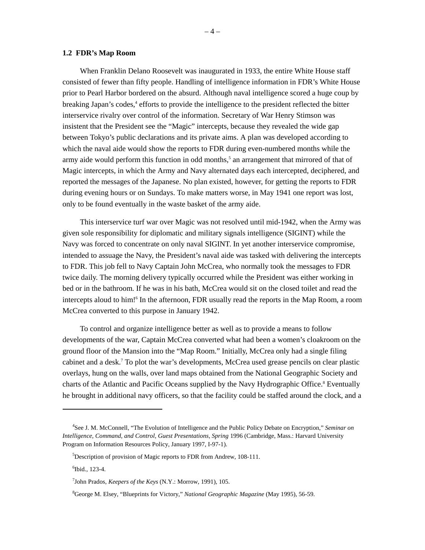#### <span id="page-8-0"></span>**1.2 FDR's Map Room**

When Franklin Delano Roosevelt was inaugurated in 1933, the entire White House staff consisted of fewer than fifty people. Handling of intelligence information in FDR's White House prior to Pearl Harbor bordered on the absurd. Although naval intelligence scored a huge coup by breaking Japan's codes,<sup>4</sup> efforts to provide the intelligence to the president reflected the bitter interservice rivalry over control of the information. Secretary of War Henry Stimson was insistent that the President see the "Magic" intercepts, because they revealed the wide gap between Tokyo's public declarations and its private aims. A plan was developed according to which the naval aide would show the reports to FDR during even-numbered months while the army aide would perform this function in odd months,<sup>5</sup> an arrangement that mirrored of that of Magic intercepts, in which the Army and Navy alternated days each intercepted, deciphered, and reported the messages of the Japanese. No plan existed, however, for getting the reports to FDR during evening hours or on Sundays. To make matters worse, in May 1941 one report was lost, only to be found eventually in the waste basket of the army aide.

This interservice turf war over Magic was not resolved until mid-1942, when the Army was given sole responsibility for diplomatic and military signals intelligence (SIGINT) while the Navy was forced to concentrate on only naval SIGINT. In yet another interservice compromise, intended to assuage the Navy, the President's naval aide was tasked with delivering the intercepts to FDR. This job fell to Navy Captain John McCrea, who normally took the messages to FDR twice daily. The morning delivery typically occurred while the President was either working in bed or in the bathroom. If he was in his bath, McCrea would sit on the closed toilet and read the intercepts aloud to him!6 In the afternoon, FDR usually read the reports in the Map Room, a room McCrea converted to this purpose in January 1942.

To control and organize intelligence better as well as to provide a means to follow developments of the war, Captain McCrea converted what had been a women's cloakroom on the ground floor of the Mansion into the "Map Room." Initially, McCrea only had a single filing cabinet and a desk.7 To plot the war's developments, McCrea used grease pencils on clear plastic overlays, hung on the walls, over land maps obtained from the National Geographic Society and charts of the Atlantic and Pacific Oceans supplied by the Navy Hydrographic Office.<sup>8</sup> Eventually he brought in additional navy officers, so that the facility could be staffed around the clock, and a

<sup>4</sup> See J. M. McConnell, "The Evolution of Intelligence and the Public Policy Debate on Encryption," *Seminar on Intelligence, Command, and Control, Guest Presentations, Spring* 1996 (Cambridge, Mass.: Harvard University Program on Information Resources Policy, January 1997, I-97-1).

<sup>&</sup>lt;sup>5</sup>Description of provision of Magic reports to FDR from Andrew, 108-111.

<sup>6</sup> Ibid., 123-4.

<sup>7</sup> John Prados, *Keepers of the Keys* (N.Y.: Morrow, 1991), 105.

<sup>8</sup> George M. Elsey, "Blueprints for Victory," *National Geographic Magazine* (May 1995), 56-59.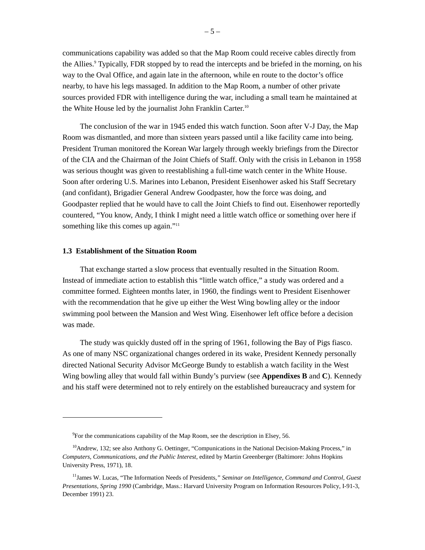<span id="page-9-0"></span>communications capability was added so that the Map Room could receive cables directly from the Allies.<sup>9</sup> Typically, FDR stopped by to read the intercepts and be briefed in the morning, on his way to the Oval Office, and again late in the afternoon, while en route to the doctor's office nearby, to have his legs massaged. In addition to the Map Room, a number of other private sources provided FDR with intelligence during the war, including a small team he maintained at the White House led by the journalist John Franklin Carter.<sup>10</sup>

The conclusion of the war in 1945 ended this watch function. Soon after V-J Day, the Map Room was dismantled, and more than sixteen years passed until a like facility came into being. President Truman monitored the Korean War largely through weekly briefings from the Director of the CIA and the Chairman of the Joint Chiefs of Staff. Only with the crisis in Lebanon in 1958 was serious thought was given to reestablishing a full-time watch center in the White House. Soon after ordering U.S. Marines into Lebanon, President Eisenhower asked his Staff Secretary (and confidant), Brigadier General Andrew Goodpaster, how the force was doing, and Goodpaster replied that he would have to call the Joint Chiefs to find out. Eisenhower reportedly countered, "You know, Andy, I think I might need a little watch office or something over here if something like this comes up again."<sup>11</sup>

#### **1.3 Establishment of the Situation Room**

l

That exchange started a slow process that eventually resulted in the Situation Room. Instead of immediate action to establish this "little watch office," a study was ordered and a committee formed. Eighteen months later, in 1960, the findings went to President Eisenhower with the recommendation that he give up either the West Wing bowling alley or the indoor swimming pool between the Mansion and West Wing. Eisenhower left office before a decision was made.

The study was quickly dusted off in the spring of 1961, following the Bay of Pigs fiasco. As one of many NSC organizational changes ordered in its wake, President Kennedy personally directed National Security Advisor McGeorge Bundy to establish a watch facility in the West Wing bowling alley that would fall within Bundy's purview (see **Appendixes B** and **C**). Kennedy and his staff were determined not to rely entirely on the established bureaucracy and system for

 $9^9$ For the communications capability of the Map Room, see the description in Elsey, 56.

 $10$ Andrew, 132; see also Anthony G. Oettinger, "Compunications in the National Decision-Making Process," in *Computers, Communications, and the Public Interest*, edited by Martin Greenberger (Baltimore: Johns Hopkins University Press, 1971), 18.

<sup>11</sup>James W. Lucas, "The Information Needs of Presidents*," Seminar on Intelligence, Command and Control, Guest Presentations, Spring 1990* (Cambridge, Mass.: Harvard University Program on Information Resources Policy, I-91-3, December 1991) 23.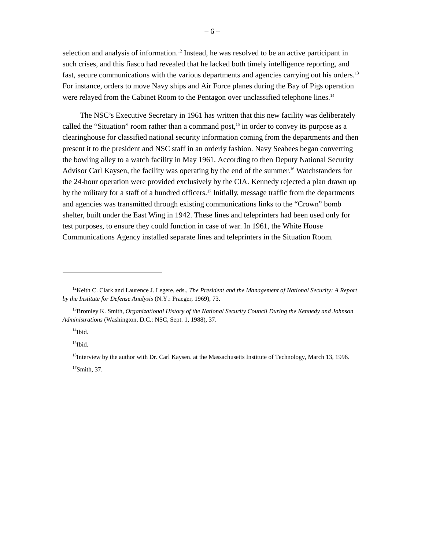selection and analysis of information.<sup>12</sup> Instead, he was resolved to be an active participant in such crises, and this fiasco had revealed that he lacked both timely intelligence reporting, and fast, secure communications with the various departments and agencies carrying out his orders.<sup>13</sup> For instance, orders to move Navy ships and Air Force planes during the Bay of Pigs operation were relayed from the Cabinet Room to the Pentagon over unclassified telephone lines.<sup>14</sup>

The NSC's Executive Secretary in 1961 has written that this new facility was deliberately called the "Situation" room rather than a command post,<sup>15</sup> in order to convey its purpose as a clearinghouse for classified national security information coming from the departments and then present it to the president and NSC staff in an orderly fashion. Navy Seabees began converting the bowling alley to a watch facility in May 1961. According to then Deputy National Security Advisor Carl Kaysen, the facility was operating by the end of the summer.16 Watchstanders for the 24-hour operation were provided exclusively by the CIA. Kennedy rejected a plan drawn up by the military for a staff of a hundred officers.<sup>17</sup> Initially, message traffic from the departments and agencies was transmitted through existing communications links to the "Crown" bomb shelter, built under the East Wing in 1942. These lines and teleprinters had been used only for test purposes, to ensure they could function in case of war. In 1961, the White House Communications Agency installed separate lines and teleprinters in the Situation Room.

 $14$ Ibid.

 $\overline{a}$ 

 $15$ Ibid.

<sup>12</sup>Keith C. Clark and Laurence J. Legere, eds., *The President and the Management of National Security: A Report by the Institute for Defense Analysis* (N.Y.: Praeger, 1969), 73.

<sup>13</sup>Bromley K. Smith, *Organizational History of the National Security Council During the Kennedy and Johnson Administrations* (Washington, D.C.: NSC, Sept. 1, 1988), 37.

<sup>&</sup>lt;sup>16</sup>Interview by the author with Dr. Carl Kaysen. at the Massachusetts Institute of Technology, March 13, 1996.  $17$ Smith, 37.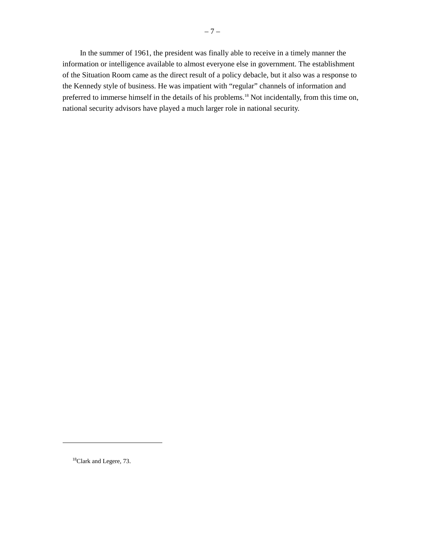In the summer of 1961, the president was finally able to receive in a timely manner the information or intelligence available to almost everyone else in government. The establishment of the Situation Room came as the direct result of a policy debacle, but it also was a response to the Kennedy style of business. He was impatient with "regular" channels of information and preferred to immerse himself in the details of his problems.<sup>18</sup> Not incidentally, from this time on, national security advisors have played a much larger role in national security.

 $\overline{a}$ 

<sup>18</sup>Clark and Legere, 73.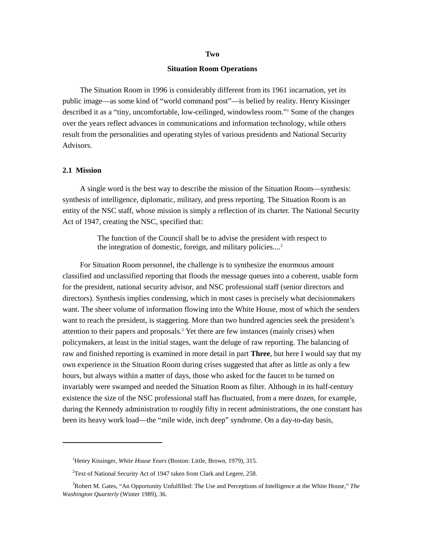#### **Two**

### **Situation Room Operations**

<span id="page-13-0"></span>The Situation Room in 1996 is considerably different from its 1961 incarnation, yet its public image—as some kind of "world command post"—is belied by reality. Henry Kissinger described it as a "tiny, uncomfortable, low-ceilinged, windowless room."1 Some of the changes over the years reflect advances in communications and information technology, while others result from the personalities and operating styles of various presidents and National Security Advisors.

#### **2.1 Mission**

l

A single word is the best way to describe the mission of the Situation Room—synthesis: synthesis of intelligence, diplomatic, military, and press reporting. The Situation Room is an entity of the NSC staff, whose mission is simply a reflection of its charter. The National Security Act of 1947, creating the NSC, specified that:

> The function of the Council shall be to advise the president with respect to the integration of domestic, foreign, and military policies....<sup>2</sup>

For Situation Room personnel, the challenge is to synthesize the enormous amount classified and unclassified reporting that floods the message queues into a coherent, usable form for the president, national security advisor, and NSC professional staff (senior directors and directors). Synthesis implies condensing, which in most cases is precisely what decisionmakers want. The sheer volume of information flowing into the White House, most of which the senders want to reach the president, is staggering. More than two hundred agencies seek the president's attention to their papers and proposals.<sup>3</sup> Yet there are few instances (mainly crises) when policymakers, at least in the initial stages, want the deluge of raw reporting. The balancing of raw and finished reporting is examined in more detail in part **Three**, but here I would say that my own experience in the Situation Room during crises suggested that after as little as only a few hours, but always within a matter of days, those who asked for the faucet to be turned on invariably were swamped and needed the Situation Room as filter. Although in its half-century existence the size of the NSC professional staff has fluctuated, from a mere dozen, for example, during the Kennedy administration to roughly fifty in recent administrations, the one constant has been its heavy work load—the "mile wide, inch deep" syndrome. On a day-to-day basis,

<sup>&</sup>lt;sup>1</sup>Henry Kissinger, *White House Years* (Boston: Little, Brown, 1979), 315.

 $2$ Text of National Security Act of 1947 taken from Clark and Legere, 258.

<sup>3</sup> Robert M. Gates, "An Opportunity Unfulfilled: The Use and Perceptions of Intelligence at the White House," *The Washington Quarterly* (Winter 1989), 36.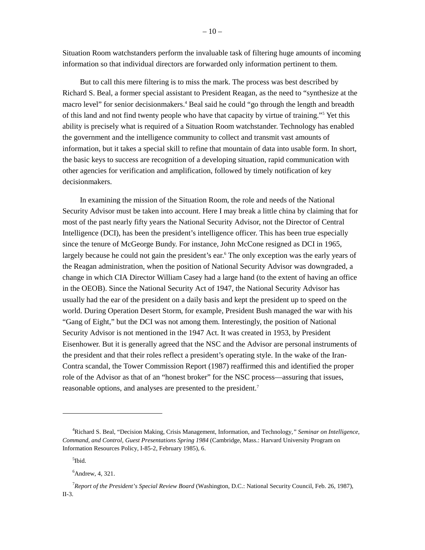Situation Room watchstanders perform the invaluable task of filtering huge amounts of incoming information so that individual directors are forwarded only information pertinent to them.

But to call this mere filtering is to miss the mark. The process was best described by Richard S. Beal, a former special assistant to President Reagan, as the need to "synthesize at the macro level" for senior decisionmakers.<sup>4</sup> Beal said he could "go through the length and breadth of this land and not find twenty people who have that capacity by virtue of training."<sup>5</sup> Yet this ability is precisely what is required of a Situation Room watchstander. Technology has enabled the government and the intelligence community to collect and transmit vast amounts of information, but it takes a special skill to refine that mountain of data into usable form. In short, the basic keys to success are recognition of a developing situation, rapid communication with other agencies for verification and amplification, followed by timely notification of key decisionmakers.

In examining the mission of the Situation Room, the role and needs of the National Security Advisor must be taken into account. Here I may break a little china by claiming that for most of the past nearly fifty years the National Security Advisor, not the Director of Central Intelligence (DCI), has been the president's intelligence officer. This has been true especially since the tenure of McGeorge Bundy. For instance, John McCone resigned as DCI in 1965, largely because he could not gain the president's ear.<sup>6</sup> The only exception was the early years of the Reagan administration, when the position of National Security Advisor was downgraded, a change in which CIA Director William Casey had a large hand (to the extent of having an office in the OEOB). Since the National Security Act of 1947, the National Security Advisor has usually had the ear of the president on a daily basis and kept the president up to speed on the world. During Operation Desert Storm, for example, President Bush managed the war with his "Gang of Eight," but the DCI was not among them. Interestingly, the position of National Security Advisor is not mentioned in the 1947 Act. It was created in 1953, by President Eisenhower. But it is generally agreed that the NSC and the Advisor are personal instruments of the president and that their roles reflect a president's operating style. In the wake of the Iran-Contra scandal, the Tower Commission Report (1987) reaffirmed this and identified the proper role of the Advisor as that of an "honest broker" for the NSC process—assuring that issues, reasonable options, and analyses are presented to the president.<sup>7</sup>

<sup>4</sup> Richard S. Beal, "Decision Making, Crisis Management, Information, and Technology*," Seminar on Intelligence, Command, and Control, Guest Presentations Spring 1984* (Cambridge, Mass.: Harvard University Program on Information Resources Policy, I-85-2, February 1985), 6.

<sup>5</sup> Ibid.

 $6$ Andrew, 4, 321.

<sup>7</sup> *Report of the President's Special Review Board* (Washington, D.C.: National Security Council, Feb. 26, 1987), II-3.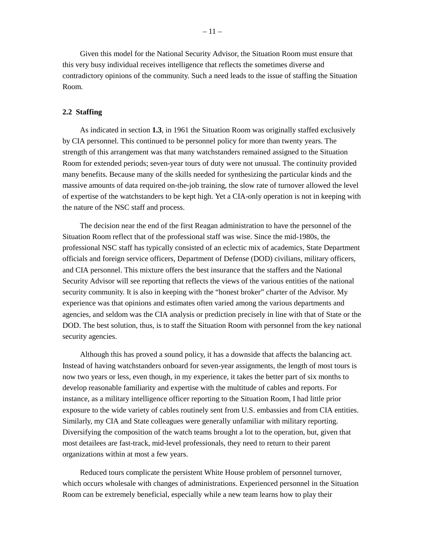<span id="page-15-0"></span>Given this model for the National Security Advisor, the Situation Room must ensure that this very busy individual receives intelligence that reflects the sometimes diverse and contradictory opinions of the community. Such a need leads to the issue of staffing the Situation Room.

#### **2.2 Staffing**

As indicated in section **1.3**, in 1961 the Situation Room was originally staffed exclusively by CIA personnel. This continued to be personnel policy for more than twenty years. The strength of this arrangement was that many watchstanders remained assigned to the Situation Room for extended periods; seven-year tours of duty were not unusual. The continuity provided many benefits. Because many of the skills needed for synthesizing the particular kinds and the massive amounts of data required on-the-job training, the slow rate of turnover allowed the level of expertise of the watchstanders to be kept high. Yet a CIA-only operation is not in keeping with the nature of the NSC staff and process.

The decision near the end of the first Reagan administration to have the personnel of the Situation Room reflect that of the professional staff was wise. Since the mid-1980s, the professional NSC staff has typically consisted of an eclectic mix of academics, State Department officials and foreign service officers, Department of Defense (DOD) civilians, military officers, and CIA personnel. This mixture offers the best insurance that the staffers and the National Security Advisor will see reporting that reflects the views of the various entities of the national security community. It is also in keeping with the "honest broker" charter of the Advisor. My experience was that opinions and estimates often varied among the various departments and agencies, and seldom was the CIA analysis or prediction precisely in line with that of State or the DOD. The best solution, thus, is to staff the Situation Room with personnel from the key national security agencies.

Although this has proved a sound policy, it has a downside that affects the balancing act. Instead of having watchstanders onboard for seven-year assignments, the length of most tours is now two years or less, even though, in my experience, it takes the better part of six months to develop reasonable familiarity and expertise with the multitude of cables and reports. For instance, as a military intelligence officer reporting to the Situation Room, I had little prior exposure to the wide variety of cables routinely sent from U.S. embassies and from CIA entities. Similarly, my CIA and State colleagues were generally unfamiliar with military reporting. Diversifying the composition of the watch teams brought a lot to the operation, but, given that most detailees are fast-track, mid-level professionals, they need to return to their parent organizations within at most a few years.

Reduced tours complicate the persistent White House problem of personnel turnover, which occurs wholesale with changes of administrations. Experienced personnel in the Situation Room can be extremely beneficial, especially while a new team learns how to play their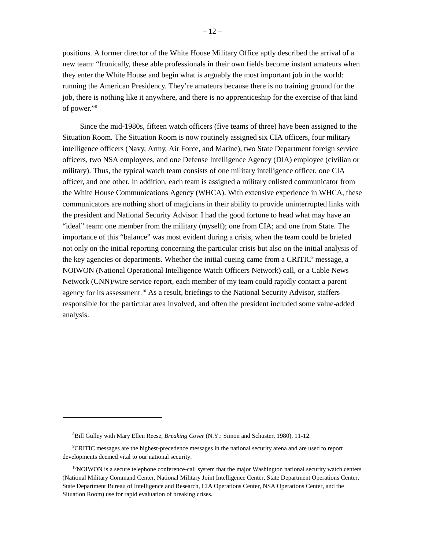positions. A former director of the White House Military Office aptly described the arrival of a new team: "Ironically, these able professionals in their own fields become instant amateurs when they enter the White House and begin what is arguably the most important job in the world: running the American Presidency. They're amateurs because there is no training ground for the job, there is nothing like it anywhere, and there is no apprenticeship for the exercise of that kind of power."8

Since the mid-1980s, fifteen watch officers (five teams of three) have been assigned to the Situation Room. The Situation Room is now routinely assigned six CIA officers, four military intelligence officers (Navy, Army, Air Force, and Marine), two State Department foreign service officers, two NSA employees, and one Defense Intelligence Agency (DIA) employee (civilian or military). Thus, the typical watch team consists of one military intelligence officer, one CIA officer, and one other. In addition, each team is assigned a military enlisted communicator from the White House Communications Agency (WHCA). With extensive experience in WHCA, these communicators are nothing short of magicians in their ability to provide uninterrupted links with the president and National Security Advisor. I had the good fortune to head what may have an "ideal" team: one member from the military (myself); one from CIA; and one from State. The importance of this "balance" was most evident during a crisis, when the team could be briefed not only on the initial reporting concerning the particular crisis but also on the initial analysis of the key agencies or departments. Whether the initial cueing came from a CRITIC<sup>9</sup> message, a NOIWON (National Operational Intelligence Watch Officers Network) call, or a Cable News Network (CNN)/wire service report, each member of my team could rapidly contact a parent agency for its assessment.10 As a result, briefings to the National Security Advisor, staffers responsible for the particular area involved, and often the president included some value-added analysis.

<sup>8</sup> Bill Gulley with Mary Ellen Reese, *Breaking Cover* (N.Y.: Simon and Schuster, 1980), 11-12.

<sup>9</sup> CRITIC messages are the highest-precedence messages in the national security arena and are used to report developments deemed vital to our national security.

 $10$ NOIWON is a secure telephone conference-call system that the major Washington national security watch centers (National Military Command Center, National Military Joint Intelligence Center, State Department Operations Center, State Department Bureau of Intelligence and Research, CIA Operations Center, NSA Operations Center, and the Situation Room) use for rapid evaluation of breaking crises.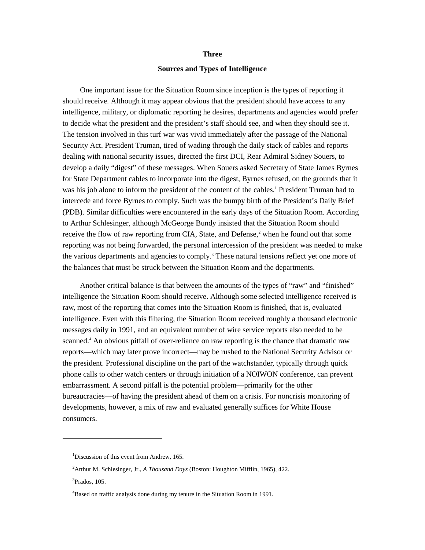#### **Three**

### **Sources and Types of Intelligence**

<span id="page-17-0"></span>One important issue for the Situation Room since inception is the types of reporting it should receive. Although it may appear obvious that the president should have access to any intelligence, military, or diplomatic reporting he desires, departments and agencies would prefer to decide what the president and the president's staff should see, and when they should see it. The tension involved in this turf war was vivid immediately after the passage of the National Security Act. President Truman, tired of wading through the daily stack of cables and reports dealing with national security issues, directed the first DCI, Rear Admiral Sidney Souers, to develop a daily "digest" of these messages. When Souers asked Secretary of State James Byrnes for State Department cables to incorporate into the digest, Byrnes refused, on the grounds that it was his job alone to inform the president of the content of the cables.<sup>1</sup> President Truman had to intercede and force Byrnes to comply. Such was the bumpy birth of the President's Daily Brief (PDB). Similar difficulties were encountered in the early days of the Situation Room. According to Arthur Schlesinger, although McGeorge Bundy insisted that the Situation Room should receive the flow of raw reporting from CIA, State, and Defense,<sup>2</sup> when he found out that some reporting was not being forwarded, the personal intercession of the president was needed to make the various departments and agencies to comply.<sup>3</sup> These natural tensions reflect yet one more of the balances that must be struck between the Situation Room and the departments.

Another critical balance is that between the amounts of the types of "raw" and "finished" intelligence the Situation Room should receive. Although some selected intelligence received is raw, most of the reporting that comes into the Situation Room is finished, that is, evaluated intelligence. Even with this filtering, the Situation Room received roughly a thousand electronic messages daily in 1991, and an equivalent number of wire service reports also needed to be scanned.<sup>4</sup> An obvious pitfall of over-reliance on raw reporting is the chance that dramatic raw reports—which may later prove incorrect—may be rushed to the National Security Advisor or the president. Professional discipline on the part of the watchstander, typically through quick phone calls to other watch centers or through initiation of a NOIWON conference, can prevent embarrassment. A second pitfall is the potential problem—primarily for the other bureaucracies—of having the president ahead of them on a crisis. For noncrisis monitoring of developments, however, a mix of raw and evaluated generally suffices for White House consumers.

<sup>&</sup>lt;sup>1</sup>Discussion of this event from Andrew, 165.

<sup>2</sup> Arthur M. Schlesinger, Jr., *A Thousand Days* (Boston: Houghton Mifflin, 1965), 422.

<sup>3</sup> Prados, 105.

<sup>&</sup>lt;sup>4</sup>Based on traffic analysis done during my tenure in the Situation Room in 1991.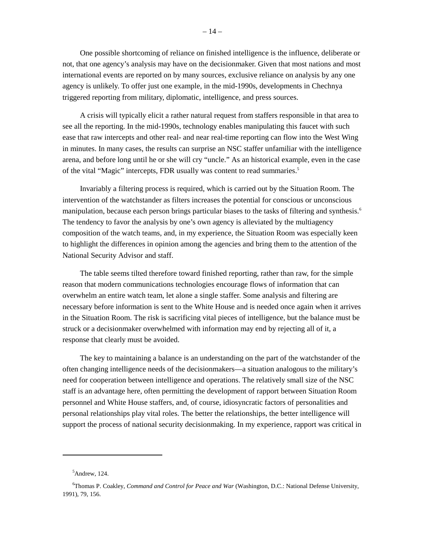One possible shortcoming of reliance on finished intelligence is the influence, deliberate or not, that one agency's analysis may have on the decisionmaker. Given that most nations and most international events are reported on by many sources, exclusive reliance on analysis by any one agency is unlikely. To offer just one example, in the mid-1990s, developments in Chechnya triggered reporting from military, diplomatic, intelligence, and press sources.

A crisis will typically elicit a rather natural request from staffers responsible in that area to see all the reporting. In the mid-1990s, technology enables manipulating this faucet with such ease that raw intercepts and other real- and near real-time reporting can flow into the West Wing in minutes. In many cases, the results can surprise an NSC staffer unfamiliar with the intelligence arena, and before long until he or she will cry "uncle." As an historical example, even in the case of the vital "Magic" intercepts, FDR usually was content to read summaries.5

Invariably a filtering process is required, which is carried out by the Situation Room. The intervention of the watchstander as filters increases the potential for conscious or unconscious manipulation, because each person brings particular biases to the tasks of filtering and synthesis.<sup>6</sup> The tendency to favor the analysis by one's own agency is alleviated by the multiagency composition of the watch teams, and, in my experience, the Situation Room was especially keen to highlight the differences in opinion among the agencies and bring them to the attention of the National Security Advisor and staff.

The table seems tilted therefore toward finished reporting, rather than raw, for the simple reason that modern communications technologies encourage flows of information that can overwhelm an entire watch team, let alone a single staffer. Some analysis and filtering are necessary before information is sent to the White House and is needed once again when it arrives in the Situation Room. The risk is sacrificing vital pieces of intelligence, but the balance must be struck or a decisionmaker overwhelmed with information may end by rejecting all of it, a response that clearly must be avoided.

The key to maintaining a balance is an understanding on the part of the watchstander of the often changing intelligence needs of the decisionmakers—a situation analogous to the military's need for cooperation between intelligence and operations. The relatively small size of the NSC staff is an advantage here, often permitting the development of rapport between Situation Room personnel and White House staffers, and, of course, idiosyncratic factors of personalities and personal relationships play vital roles. The better the relationships, the better intelligence will support the process of national security decisionmaking. In my experience, rapport was critical in

 $\overline{a}$ 

 $<sup>5</sup>$ Andrew, 124.</sup>

<sup>6</sup> Thomas P. Coakley, *Command and Control for Peace and War* (Washington, D.C.: National Defense University, 1991), 79, 156.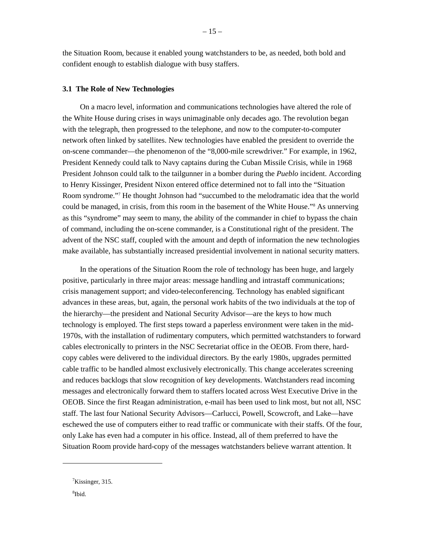<span id="page-19-0"></span>the Situation Room, because it enabled young watchstanders to be, as needed, both bold and confident enough to establish dialogue with busy staffers.

#### **3.1 The Role of New Technologies**

On a macro level, information and communications technologies have altered the role of the White House during crises in ways unimaginable only decades ago. The revolution began with the telegraph, then progressed to the telephone, and now to the computer-to-computer network often linked by satellites. New technologies have enabled the president to override the on-scene commander—the phenomenon of the "8,000-mile screwdriver." For example, in 1962, President Kennedy could talk to Navy captains during the Cuban Missile Crisis, while in 1968 President Johnson could talk to the tailgunner in a bomber during the *Pueblo* incident. According to Henry Kissinger, President Nixon entered office determined not to fall into the "Situation Room syndrome."7 He thought Johnson had "succumbed to the melodramatic idea that the world could be managed, in crisis, from this room in the basement of the White House."8 As unnerving as this "syndrome" may seem to many, the ability of the commander in chief to bypass the chain of command, including the on-scene commander, is a Constitutional right of the president. The advent of the NSC staff, coupled with the amount and depth of information the new technologies make available, has substantially increased presidential involvement in national security matters.

In the operations of the Situation Room the role of technology has been huge, and largely positive, particularly in three major areas: message handling and intrastaff communications; crisis management support; and video-teleconferencing. Technology has enabled significant advances in these areas, but, again, the personal work habits of the two individuals at the top of the hierarchy—the president and National Security Advisor—are the keys to how much technology is employed. The first steps toward a paperless environment were taken in the mid-1970s, with the installation of rudimentary computers, which permitted watchstanders to forward cables electronically to printers in the NSC Secretariat office in the OEOB. From there, hardcopy cables were delivered to the individual directors. By the early 1980s, upgrades permitted cable traffic to be handled almost exclusively electronically. This change accelerates screening and reduces backlogs that slow recognition of key developments. Watchstanders read incoming messages and electronically forward them to staffers located across West Executive Drive in the OEOB. Since the first Reagan administration, e-mail has been used to link most, but not all, NSC staff. The last four National Security Advisors—Carlucci, Powell, Scowcroft, and Lake—have eschewed the use of computers either to read traffic or communicate with their staffs. Of the four, only Lake has even had a computer in his office. Instead, all of them preferred to have the Situation Room provide hard-copy of the messages watchstanders believe warrant attention. It

 $\overline{a}$ 

 $7$ Kissinger, 315.

<sup>8</sup> Ibid.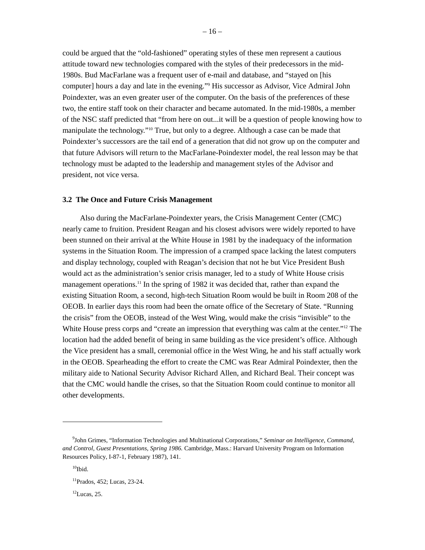<span id="page-20-0"></span>could be argued that the "old-fashioned" operating styles of these men represent a cautious attitude toward new technologies compared with the styles of their predecessors in the mid-1980s. Bud MacFarlane was a frequent user of e-mail and database, and "stayed on [his computer] hours a day and late in the evening."9 His successor as Advisor, Vice Admiral John Poindexter, was an even greater user of the computer. On the basis of the preferences of these two, the entire staff took on their character and became automated. In the mid-1980s, a member of the NSC staff predicted that "from here on out...it will be a question of people knowing how to manipulate the technology."<sup>10</sup> True, but only to a degree. Although a case can be made that Poindexter's successors are the tail end of a generation that did not grow up on the computer and that future Advisors will return to the MacFarlane-Poindexter model, the real lesson may be that technology must be adapted to the leadership and management styles of the Advisor and president, not vice versa.

#### **3.2 The Once and Future Crisis Management**

Also during the MacFarlane-Poindexter years, the Crisis Management Center (CMC) nearly came to fruition. President Reagan and his closest advisors were widely reported to have been stunned on their arrival at the White House in 1981 by the inadequacy of the information systems in the Situation Room. The impression of a cramped space lacking the latest computers and display technology, coupled with Reagan's decision that not he but Vice President Bush would act as the administration's senior crisis manager, led to a study of White House crisis management operations.<sup>11</sup> In the spring of 1982 it was decided that, rather than expand the existing Situation Room, a second, high-tech Situation Room would be built in Room 208 of the OEOB. In earlier days this room had been the ornate office of the Secretary of State. "Running the crisis" from the OEOB, instead of the West Wing, would make the crisis "invisible" to the White House press corps and "create an impression that everything was calm at the center."<sup>12</sup> The location had the added benefit of being in same building as the vice president's office. Although the Vice president has a small, ceremonial office in the West Wing, he and his staff actually work in the OEOB. Spearheading the effort to create the CMC was Rear Admiral Poindexter, then the military aide to National Security Advisor Richard Allen, and Richard Beal. Their concept was that the CMC would handle the crises, so that the Situation Room could continue to monitor all other developments.

l

 $12$ Lucas, 25.

<sup>9</sup> John Grimes, "Information Technologies and Multinational Corporations," *Seminar on Intelligence, Command, and Control, Guest Presentations, Spring 1986.* Cambridge, Mass.: Harvard University Program on Information Resources Policy, I-87-1, February 1987), 141.

 $10$ Ibid.

<sup>11</sup>Prados, 452; Lucas, 23-24.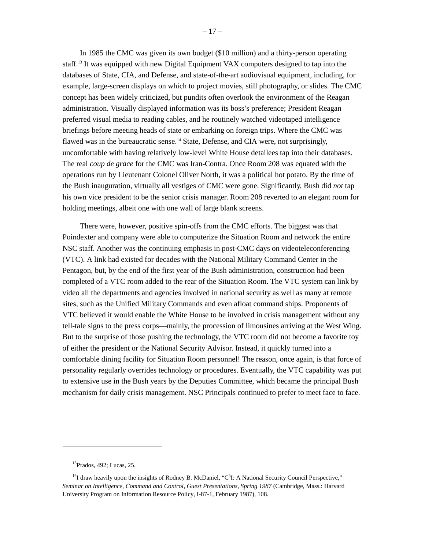In 1985 the CMC was given its own budget (\$10 million) and a thirty-person operating staff.13 It was equipped with new Digital Equipment VAX computers designed to tap into the databases of State, CIA, and Defense, and state-of-the-art audiovisual equipment, including, for example, large-screen displays on which to project movies, still photography, or slides. The CMC concept has been widely criticized, but pundits often overlook the environment of the Reagan administration. Visually displayed information was its boss's preference; President Reagan preferred visual media to reading cables, and he routinely watched videotaped intelligence briefings before meeting heads of state or embarking on foreign trips. Where the CMC was flawed was in the bureaucratic sense.<sup>14</sup> State, Defense, and CIA were, not surprisingly, uncomfortable with having relatively low-level White House detailees tap into their databases. The real *coup de grace* for the CMC was Iran-Contra. Once Room 208 was equated with the operations run by Lieutenant Colonel Oliver North, it was a political hot potato. By the time of the Bush inauguration, virtually all vestiges of CMC were gone. Significantly, Bush did *not* tap his own vice president to be the senior crisis manager. Room 208 reverted to an elegant room for holding meetings, albeit one with one wall of large blank screens.

There were, however, positive spin-offs from the CMC efforts. The biggest was that Poindexter and company were able to computerize the Situation Room and network the entire NSC staff. Another was the continuing emphasis in post-CMC days on videoteleconferencing (VTC). A link had existed for decades with the National Military Command Center in the Pentagon, but, by the end of the first year of the Bush administration, construction had been completed of a VTC room added to the rear of the Situation Room. The VTC system can link by video all the departments and agencies involved in national security as well as many at remote sites, such as the Unified Military Commands and even afloat command ships. Proponents of VTC believed it would enable the White House to be involved in crisis management without any tell-tale signs to the press corps—mainly, the procession of limousines arriving at the West Wing. But to the surprise of those pushing the technology, the VTC room did not become a favorite toy of either the president or the National Security Advisor. Instead, it quickly turned into a comfortable dining facility for Situation Room personnel! The reason, once again, is that force of personality regularly overrides technology or procedures. Eventually, the VTC capability was put to extensive use in the Bush years by the Deputies Committee, which became the principal Bush mechanism for daily crisis management. NSC Principals continued to prefer to meet face to face.

 $\overline{a}$ 

<sup>13</sup>Prados, 492; Lucas, 25.

<sup>&</sup>lt;sup>14</sup>I draw heavily upon the insights of Rodney B. McDaniel, "C<sup>3</sup>I: A National Security Council Perspective," *Seminar on Intelligence, Command and Control, Guest Presentations, Spring 1987* (Cambridge, Mass.: Harvard University Program on Information Resource Policy, I-87-1, February 1987), 108.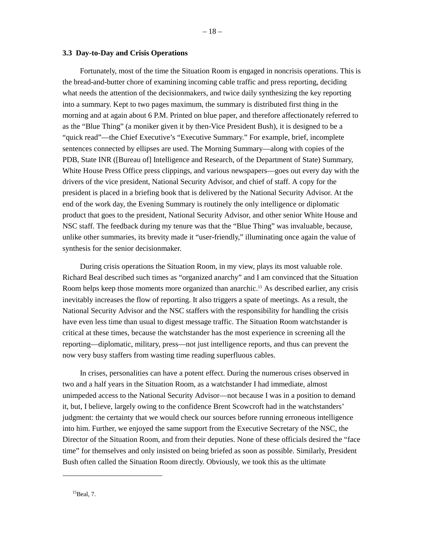#### <span id="page-22-0"></span>**3.3 Day-to-Day and Crisis Operations**

Fortunately, most of the time the Situation Room is engaged in noncrisis operations. This is the bread-and-butter chore of examining incoming cable traffic and press reporting, deciding what needs the attention of the decisionmakers, and twice daily synthesizing the key reporting into a summary. Kept to two pages maximum, the summary is distributed first thing in the morning and at again about 6 P.M. Printed on blue paper, and therefore affectionately referred to as the "Blue Thing" (a moniker given it by then-Vice President Bush), it is designed to be a "quick read"—the Chief Executive's "Executive Summary." For example, brief, incomplete sentences connected by ellipses are used. The Morning Summary—along with copies of the PDB, State INR ([Bureau of] Intelligence and Research, of the Department of State) Summary, White House Press Office press clippings, and various newspapers—goes out every day with the drivers of the vice president, National Security Advisor, and chief of staff. A copy for the president is placed in a briefing book that is delivered by the National Security Advisor. At the end of the work day, the Evening Summary is routinely the only intelligence or diplomatic product that goes to the president, National Security Advisor, and other senior White House and NSC staff. The feedback during my tenure was that the "Blue Thing" was invaluable, because, unlike other summaries, its brevity made it "user-friendly," illuminating once again the value of synthesis for the senior decisionmaker.

During crisis operations the Situation Room, in my view, plays its most valuable role. Richard Beal described such times as "organized anarchy" and I am convinced that the Situation Room helps keep those moments more organized than anarchic.<sup>15</sup> As described earlier, any crisis inevitably increases the flow of reporting. It also triggers a spate of meetings. As a result, the National Security Advisor and the NSC staffers with the responsibility for handling the crisis have even less time than usual to digest message traffic. The Situation Room watchstander is critical at these times, because the watchstander has the most experience in screening all the reporting—diplomatic, military, press—not just intelligence reports, and thus can prevent the now very busy staffers from wasting time reading superfluous cables.

In crises, personalities can have a potent effect. During the numerous crises observed in two and a half years in the Situation Room, as a watchstander I had immediate, almost unimpeded access to the National Security Advisor—not because I was in a position to demand it, but, I believe, largely owing to the confidence Brent Scowcroft had in the watchstanders' judgment: the certainty that we would check our sources before running erroneous intelligence into him. Further, we enjoyed the same support from the Executive Secretary of the NSC, the Director of the Situation Room, and from their deputies. None of these officials desired the "face time" for themselves and only insisted on being briefed as soon as possible. Similarly, President Bush often called the Situation Room directly. Obviously, we took this as the ultimate

 $\overline{a}$ 

 $15$ Beal, 7.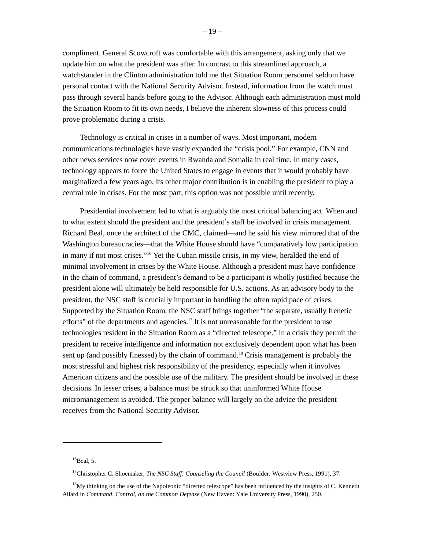compliment. General Scowcroft was comfortable with this arrangement, asking only that we update him on what the president was after. In contrast to this streamlined approach, a watchstander in the Clinton administration told me that Situation Room personnel seldom have personal contact with the National Security Advisor. Instead, information from the watch must pass through several hands before going to the Advisor. Although each administration must mold the Situation Room to fit its own needs, I believe the inherent slowness of this process could prove problematic during a crisis.

Technology is critical in crises in a number of ways. Most important, modern communications technologies have vastly expanded the "crisis pool." For example, CNN and other news services now cover events in Rwanda and Somalia in real time. In many cases, technology appears to force the United States to engage in events that it would probably have marginalized a few years ago. Its other major contribution is in enabling the president to play a central role in crises. For the most part, this option was not possible until recently.

Presidential involvement led to what is arguably the most critical balancing act. When and to what extent should the president and the president's staff be involved in crisis management. Richard Beal, once the architect of the CMC, claimed—and he said his view mirrored that of the Washington bureaucracies—that the White House should have "comparatively low participation in many if not most crises."16 Yet the Cuban missile crisis, in my view, heralded the end of minimal involvement in crises by the White House. Although a president must have confidence in the chain of command, a president's demand to be a participant is wholly justified because the president alone will ultimately be held responsible for U.S. actions. As an advisory body to the president, the NSC staff is crucially important in handling the often rapid pace of crises. Supported by the Situation Room, the NSC staff brings together "the separate, usually frenetic efforts" of the departments and agencies.<sup>17</sup> It is not unreasonable for the president to use technologies resident in the Situation Room as a "directed telescope." In a crisis they permit the president to receive intelligence and information not exclusively dependent upon what has been sent up (and possibly finessed) by the chain of command.<sup>18</sup> Crisis management is probably the most stressful and highest risk responsibility of the presidency, especially when it involves American citizens and the possible use of the military. The president should be involved in these decisions. In lesser crises, a balance must be struck so that uninformed White House micromanagement is avoided. The proper balance will largely on the advice the president receives from the National Security Advisor.

 $16$ Beal, 5.

<sup>&</sup>lt;sup>17</sup>Christopher C. Shoemaker, *The NSC Staff: Counseling the Council* (Boulder: Westview Press, 1991), 37.

 $18$ My thinking on the use of the Napoleonic "directed telescope" has been influenced by the insights of C. Kenneth Allard in *Command, Control, an the Common Defense* (New Haven: Yale University Press, 1990), 250.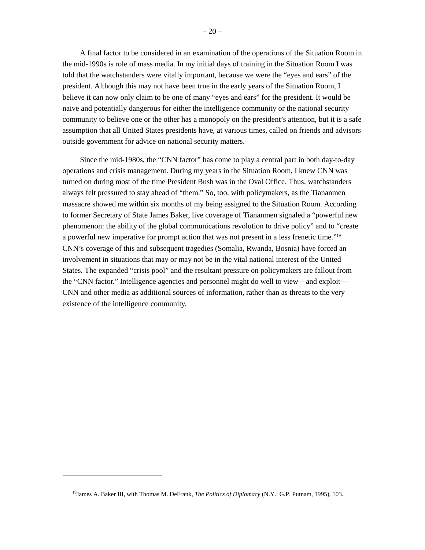A final factor to be considered in an examination of the operations of the Situation Room in the mid-1990s is role of mass media. In my initial days of training in the Situation Room I was told that the watchstanders were vitally important, because we were the "eyes and ears" of the president. Although this may not have been true in the early years of the Situation Room, I believe it can now only claim to be one of many "eyes and ears" for the president. It would be naive and potentially dangerous for either the intelligence community or the national security community to believe one or the other has a monopoly on the president's attention, but it is a safe assumption that all United States presidents have, at various times, called on friends and advisors outside government for advice on national security matters.

Since the mid-1980s, the "CNN factor" has come to play a central part in both day-to-day operations and crisis management. During my years in the Situation Room, I knew CNN was turned on during most of the time President Bush was in the Oval Office. Thus, watchstanders always felt pressured to stay ahead of "them." So, too, with policymakers, as the Tiananmen massacre showed me within six months of my being assigned to the Situation Room. According to former Secretary of State James Baker, live coverage of Tiananmen signaled a "powerful new phenomenon: the ability of the global communications revolution to drive policy" and to "create a powerful new imperative for prompt action that was not present in a less frenetic time."19 CNN's coverage of this and subsequent tragedies (Somalia, Rwanda, Bosnia) have forced an involvement in situations that may or may not be in the vital national interest of the United States. The expanded "crisis pool" and the resultant pressure on policymakers are fallout from the "CNN factor." Intelligence agencies and personnel might do well to view—and exploit— CNN and other media as additional sources of information, rather than as threats to the very existence of the intelligence community.

<sup>19</sup>James A. Baker III, with Thomas M. DeFrank, *The Politics of Diplomacy* (N.Y.: G.P. Putnam, 1995), 103.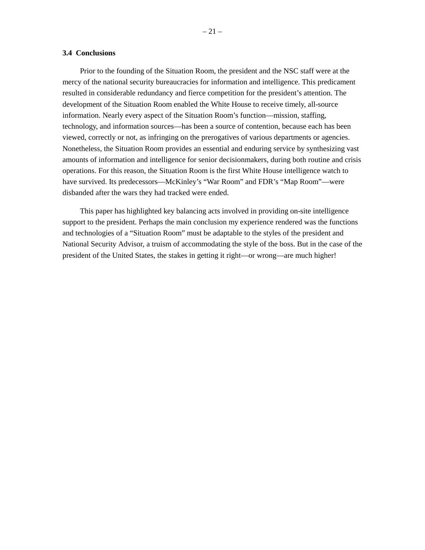#### <span id="page-25-0"></span>**3.4 Conclusions**

Prior to the founding of the Situation Room, the president and the NSC staff were at the mercy of the national security bureaucracies for information and intelligence. This predicament resulted in considerable redundancy and fierce competition for the president's attention. The development of the Situation Room enabled the White House to receive timely, all-source information. Nearly every aspect of the Situation Room's function—mission, staffing, technology, and information sources—has been a source of contention, because each has been viewed, correctly or not, as infringing on the prerogatives of various departments or agencies. Nonetheless, the Situation Room provides an essential and enduring service by synthesizing vast amounts of information and intelligence for senior decisionmakers, during both routine and crisis operations. For this reason, the Situation Room is the first White House intelligence watch to have survived. Its predecessors—McKinley's "War Room" and FDR's "Map Room"—were disbanded after the wars they had tracked were ended.

This paper has highlighted key balancing acts involved in providing on-site intelligence support to the president. Perhaps the main conclusion my experience rendered was the functions and technologies of a "Situation Room" must be adaptable to the styles of the president and National Security Advisor, a truism of accommodating the style of the boss. But in the case of the president of the United States, the stakes in getting it right—or wrong—are much higher!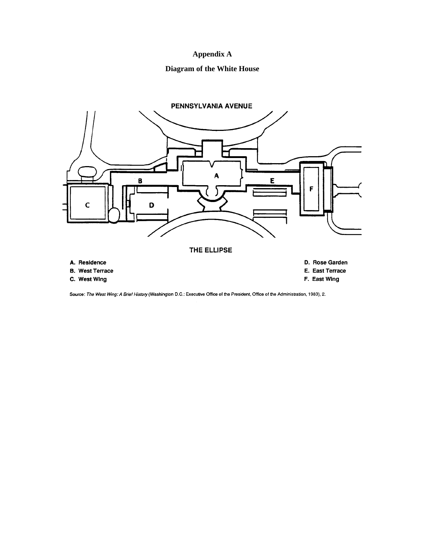# **Appendix A**

# **Diagram of the White House**

<span id="page-26-0"></span>

Source: The West Wing: A Brief History (Washington D.C.: Executive Office of the President, Office of the Administration, 1983), 2.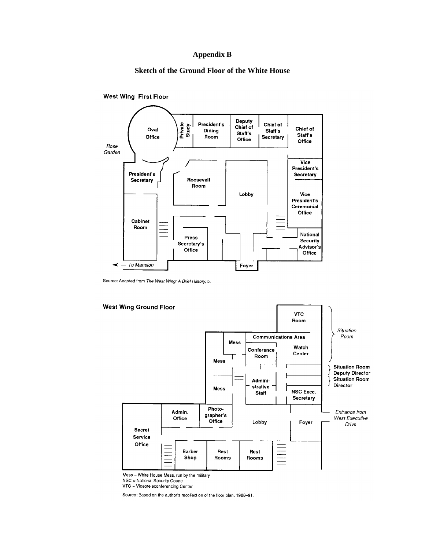### **Appendix B**

#### **Sketch of the Ground Floor of the White House**

<span id="page-27-0"></span>

Source: Adapted from The West Wing: A Brief History, 5.



Mess = White House Mess, run by the military

NSC = National Security Council

VTC = Videoteleconferencing Center

Source: Based on the author's recollection of the floor plan, 1988-91.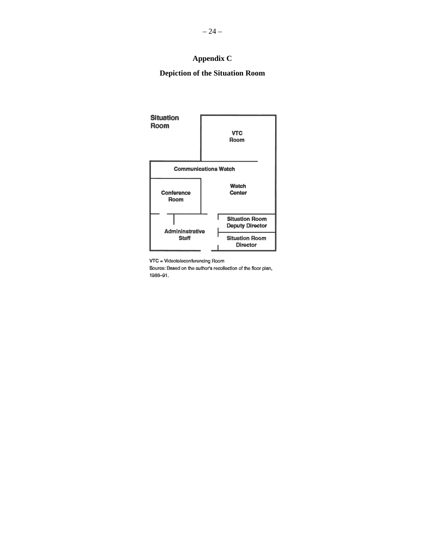# **Appendix C**

# <span id="page-28-0"></span>**Depiction of the Situation Room**



VTC = Videoteleconferencing Room

Source: Based on the author's recollection of the floor plan, 1988-91.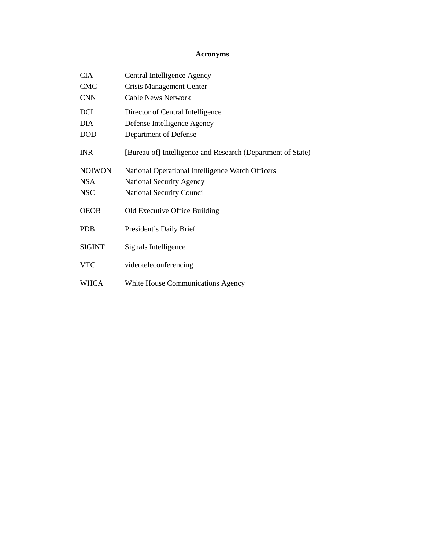# **Acronyms**

| <b>CIA</b>    | Central Intelligence Agency                                 |
|---------------|-------------------------------------------------------------|
| <b>CMC</b>    | Crisis Management Center                                    |
| <b>CNN</b>    | <b>Cable News Network</b>                                   |
| <b>DCI</b>    | Director of Central Intelligence                            |
| <b>DIA</b>    | Defense Intelligence Agency                                 |
| <b>DOD</b>    | Department of Defense                                       |
| <b>INR</b>    | [Bureau of] Intelligence and Research (Department of State) |
| <b>NOIWON</b> | National Operational Intelligence Watch Officers            |
| <b>NSA</b>    | <b>National Security Agency</b>                             |
| <b>NSC</b>    | <b>National Security Council</b>                            |
| <b>OEOB</b>   | Old Executive Office Building                               |
| <b>PDB</b>    | President's Daily Brief                                     |
| <b>SIGINT</b> | Signals Intelligence                                        |
| <b>VTC</b>    | videoteleconferencing                                       |
| <b>WHCA</b>   | <b>White House Communications Agency</b>                    |